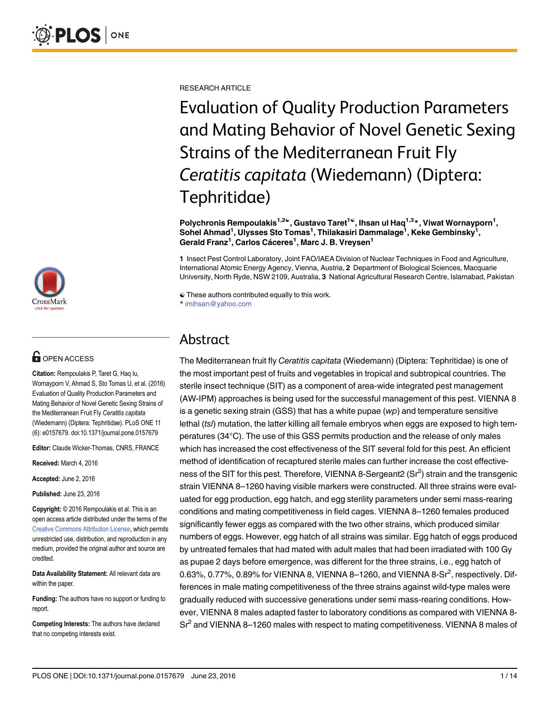

# $\blacksquare$  OPEN ACCESS

Citation: Rempoulakis P, Taret G, Haq Iu, Wornayporn V, Ahmad S, Sto Tomas U, et al. (2016) Evaluation of Quality Production Parameters and Mating Behavior of Novel Genetic Sexing Strains of the Mediterranean Fruit Fly Ceratitis capitata (Wiedemann) (Diptera: Tephritidae). PLoS ONE 11 (6): e0157679. doi:10.1371/journal.pone.0157679

Editor: Claude Wicker-Thomas, CNRS, FRANCE

Received: March 4, 2016

Accepted: June 2, 2016

Published: June 23, 2016

Copyright: © 2016 Rempoulakis et al. This is an open access article distributed under the terms of the [Creative Commons Attribution License,](http://creativecommons.org/licenses/by/4.0/) which permits unrestricted use, distribution, and reproduction in any medium, provided the original author and source are credited.

Data Availability Statement: All relevant data are within the paper.

Funding: The authors have no support or funding to report.

Competing Interests: The authors have declared that no competing interests exist.

RESEARCH ARTICLE

Evaluation of Quality Production Parameters and Mating Behavior of Novel Genetic Sexing Strains of the Mediterranean Fruit Fly Ceratitis capitata (Wiedemann) (Diptera: Tephritidae)

Polychronis Rempoulakis<sup>1,2©</sup>, Gustavo Taret<sup>1©</sup>, Ihsan ul Haq<sup>1,3</sup>\*, Viwat Wornayporn<sup>1</sup>, Sohel Ahmad $^1$ , Ulysses Sto Tomas $^1$ , Thilakasiri Dammalage $^1$ , Keke Gembinsky $^1,$ Gerald Franz<sup>1</sup>, Carlos Cáceres<sup>1</sup>, Marc J. B. Vreysen<sup>1</sup>

1 Insect Pest Control Laboratory, Joint FAO/IAEA Division of Nuclear Techniques in Food and Agriculture, International Atomic Energy Agency, Vienna, Austria, 2 Department of Biological Sciences, Macquarie University, North Ryde, NSW 2109, Australia, 3 National Agricultural Research Centre, Islamabad, Pakistan

☯ These authors contributed equally to this work. \* imihsan@yahoo.com

# Abstract

The Mediterranean fruit fly Ceratitis capitata (Wiedemann) (Diptera: Tephritidae) is one of the most important pest of fruits and vegetables in tropical and subtropical countries. The sterile insect technique (SIT) as a component of area-wide integrated pest management (AW-IPM) approaches is being used for the successful management of this pest. VIENNA 8 is a genetic sexing strain  $(GSS)$  that has a white pupae  $(wp)$  and temperature sensitive lethal (ts/) mutation, the latter killing all female embryos when eggs are exposed to high temperatures (34°C). The use of this GSS permits production and the release of only males which has increased the cost effectiveness of the SIT several fold for this pest. An efficient method of identification of recaptured sterile males can further increase the cost effectiveness of the SIT for this pest. Therefore, VIENNA 8-Sergeant2 (Sr<sup>2</sup>) strain and the transgenic strain VIENNA 8–1260 having visible markers were constructed. All three strains were evaluated for egg production, egg hatch, and egg sterility parameters under semi mass-rearing conditions and mating competitiveness in field cages. VIENNA 8–1260 females produced significantly fewer eggs as compared with the two other strains, which produced similar numbers of eggs. However, egg hatch of all strains was similar. Egg hatch of eggs produced by untreated females that had mated with adult males that had been irradiated with 100 Gy as pupae 2 days before emergence, was different for the three strains, i.e., egg hatch of 0.63%, 0.77%, 0.89% for VIENNA 8, VIENNA 8-1260, and VIENNA 8-Sr $^2$ , respectively. Differences in male mating competitiveness of the three strains against wild-type males were gradually reduced with successive generations under semi mass-rearing conditions. However, VIENNA 8 males adapted faster to laboratory conditions as compared with VIENNA 8- Sr<sup>2</sup> and VIENNA 8–1260 males with respect to mating competitiveness. VIENNA 8 males of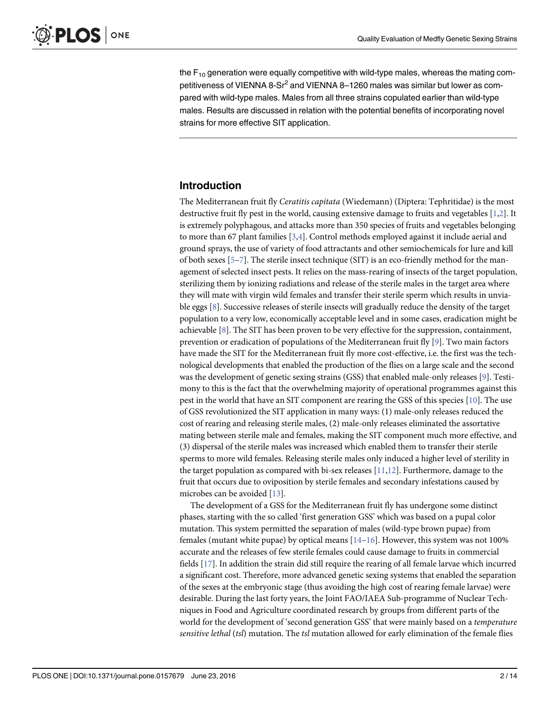<span id="page-1-0"></span>the  $F_{10}$  generation were equally competitive with wild-type males, whereas the mating competitiveness of VIENNA 8-Sr<sup>2</sup> and VIENNA 8-1260 males was similar but lower as compared with wild-type males. Males from all three strains copulated earlier than wild-type males. Results are discussed in relation with the potential benefits of incorporating novel strains for more effective SIT application.

### Introduction

The Mediterranean fruit fly Ceratitis capitata (Wiedemann) (Diptera: Tephritidae) is the most destructive fruit fly pest in the world, causing extensive damage to fruits and vegetables [[1,2\]](#page-11-0). It is extremely polyphagous, and attacks more than 350 species of fruits and vegetables belonging to more than 67 plant families [[3,4\]](#page-11-0). Control methods employed against it include aerial and ground sprays, the use of variety of food attractants and other semiochemicals for lure and kill of both sexes [[5](#page-11-0)–[7](#page-11-0)]. The sterile insect technique (SIT) is an eco-friendly method for the management of selected insect pests. It relies on the mass-rearing of insects of the target population, sterilizing them by ionizing radiations and release of the sterile males in the target area where they will mate with virgin wild females and transfer their sterile sperm which results in unviable eggs [[8](#page-12-0)]. Successive releases of sterile insects will gradually reduce the density of the target population to a very low, economically acceptable level and in some cases, eradication might be achievable  $[8]$  $[8]$ . The SIT has been proven to be very effective for the suppression, containment, prevention or eradication of populations of the Mediterranean fruit fly [\[9\]](#page-12-0). Two main factors have made the SIT for the Mediterranean fruit fly more cost-effective, i.e. the first was the technological developments that enabled the production of the flies on a large scale and the second was the development of genetic sexing strains (GSS) that enabled male-only releases [[9\]](#page-12-0). Testimony to this is the fact that the overwhelming majority of operational programmes against this pest in the world that have an SIT component are rearing the GSS of this species [[10](#page-12-0)]. The use of GSS revolutionized the SIT application in many ways: (1) male-only releases reduced the cost of rearing and releasing sterile males, (2) male-only releases eliminated the assortative mating between sterile male and females, making the SIT component much more effective, and (3) dispersal of the sterile males was increased which enabled them to transfer their sterile sperms to more wild females. Releasing sterile males only induced a higher level of sterility in the target population as compared with bi-sex releases  $[11,12]$  $[11,12]$  $[11,12]$ . Furthermore, damage to the fruit that occurs due to oviposition by sterile females and secondary infestations caused by microbes can be avoided [[13\]](#page-12-0).

The development of a GSS for the Mediterranean fruit fly has undergone some distinct phases, starting with the so called 'first generation GSS' which was based on a pupal color mutation. This system permitted the separation of males (wild-type brown pupae) from females (mutant white pupae) by optical means  $[14–16]$  $[14–16]$  $[14–16]$  $[14–16]$ . However, this system was not 100% accurate and the releases of few sterile females could cause damage to fruits in commercial fields [[17](#page-12-0)]. In addition the strain did still require the rearing of all female larvae which incurred a significant cost. Therefore, more advanced genetic sexing systems that enabled the separation of the sexes at the embryonic stage (thus avoiding the high cost of rearing female larvae) were desirable. During the last forty years, the Joint FAO/IAEA Sub-programme of Nuclear Techniques in Food and Agriculture coordinated research by groups from different parts of the world for the development of 'second generation GSS' that were mainly based on a temperature sensitive lethal (tsl) mutation. The tsl mutation allowed for early elimination of the female flies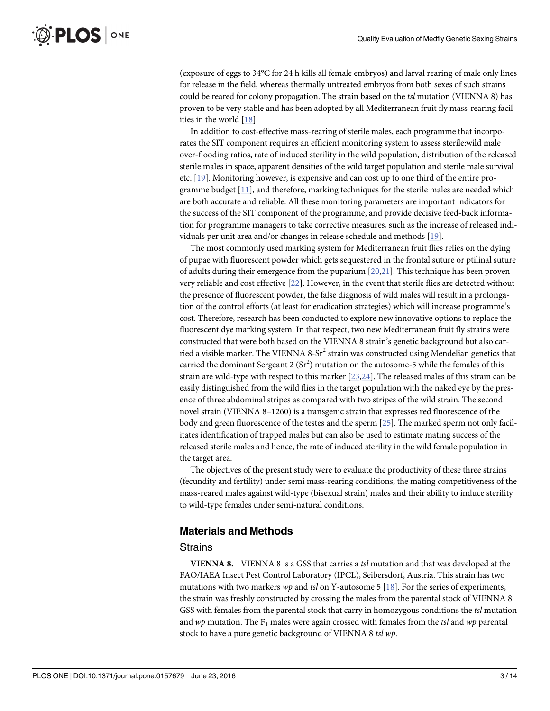<span id="page-2-0"></span>(exposure of eggs to 34°C for 24 h kills all female embryos) and larval rearing of male only lines for release in the field, whereas thermally untreated embryos from both sexes of such strains could be reared for colony propagation. The strain based on the tsl mutation (VIENNA 8) has proven to be very stable and has been adopted by all Mediterranean fruit fly mass-rearing facilities in the world [[18\]](#page-12-0).

In addition to cost-effective mass-rearing of sterile males, each programme that incorporates the SIT component requires an efficient monitoring system to assess sterile:wild male over-flooding ratios, rate of induced sterility in the wild population, distribution of the released sterile males in space, apparent densities of the wild target population and sterile male survival etc. [\[19\]](#page-12-0). Monitoring however, is expensive and can cost up to one third of the entire programme budget [\[11\]](#page-12-0), and therefore, marking techniques for the sterile males are needed which are both accurate and reliable. All these monitoring parameters are important indicators for the success of the SIT component of the programme, and provide decisive feed-back information for programme managers to take corrective measures, such as the increase of released individuals per unit area and/or changes in release schedule and methods [[19\]](#page-12-0).

The most commonly used marking system for Mediterranean fruit flies relies on the dying of pupae with fluorescent powder which gets sequestered in the frontal suture or ptilinal suture of adults during their emergence from the puparium [[20](#page-12-0),[21](#page-12-0)]. This technique has been proven very reliable and cost effective [\[22\]](#page-12-0). However, in the event that sterile flies are detected without the presence of fluorescent powder, the false diagnosis of wild males will result in a prolongation of the control efforts (at least for eradication strategies) which will increase programme's cost. Therefore, research has been conducted to explore new innovative options to replace the fluorescent dye marking system. In that respect, two new Mediterranean fruit fly strains were constructed that were both based on the VIENNA 8 strain's genetic background but also carried a visible marker. The VIENNA 8-Sr<sup>2</sup> strain was constructed using Mendelian genetics that carried the dominant Sergeant 2 ( $Sr^2$ ) mutation on the autosome-5 while the females of this strain are wild-type with respect to this marker [[23](#page-12-0),[24](#page-12-0)]. The released males of this strain can be easily distinguished from the wild flies in the target population with the naked eye by the presence of three abdominal stripes as compared with two stripes of the wild strain. The second novel strain (VIENNA 8–1260) is a transgenic strain that expresses red fluorescence of the body and green fluorescence of the testes and the sperm [[25](#page-12-0)]. The marked sperm not only facilitates identification of trapped males but can also be used to estimate mating success of the released sterile males and hence, the rate of induced sterility in the wild female population in the target area.

The objectives of the present study were to evaluate the productivity of these three strains (fecundity and fertility) under semi mass-rearing conditions, the mating competitiveness of the mass-reared males against wild-type (bisexual strain) males and their ability to induce sterility to wild-type females under semi-natural conditions.

### Materials and Methods

#### **Strains**

VIENNA 8. VIENNA 8 is a GSS that carries a tsl mutation and that was developed at the FAO/IAEA Insect Pest Control Laboratory (IPCL), Seibersdorf, Austria. This strain has two mutations with two markers  $wp$  and tsl on Y-autosome 5 [[18](#page-12-0)]. For the series of experiments, the strain was freshly constructed by crossing the males from the parental stock of VIENNA 8 GSS with females from the parental stock that carry in homozygous conditions the tsl mutation and wp mutation. The  $F_1$  males were again crossed with females from the tsl and wp parental stock to have a pure genetic background of VIENNA 8 tsl wp.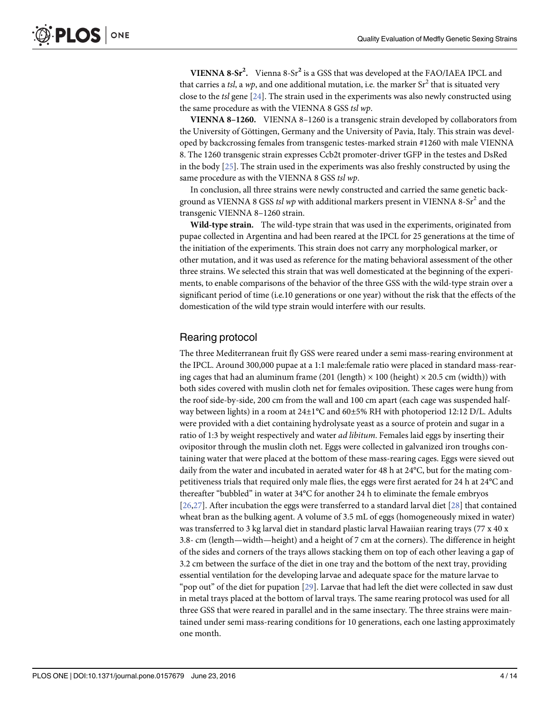<span id="page-3-0"></span>VIENNA  $8-Sr^2$ . Vienna  $8-Sr^2$  is a GSS that was developed at the FAO/IAEA IPCL and that carries a tsl, a wp, and one additional mutation, i.e. the marker  $Sr^2$  that is situated very close to the tsl gene  $[24]$  $[24]$  $[24]$ . The strain used in the experiments was also newly constructed using the same procedure as with the VIENNA 8 GSS tsl wp.

VIENNA 8–1260. VIENNA 8–1260 is a transgenic strain developed by collaborators from the University of Göttingen, Germany and the University of Pavia, Italy. This strain was developed by backcrossing females from transgenic testes-marked strain #1260 with male VIENNA 8. The 1260 transgenic strain expresses Ccb2t promoter-driver tGFP in the testes and DsRed in the body [\[25\]](#page-12-0). The strain used in the experiments was also freshly constructed by using the same procedure as with the VIENNA 8 GSS tsl wp.

In conclusion, all three strains were newly constructed and carried the same genetic background as VIENNA 8 GSS tsl wp with additional markers present in VIENNA 8-Sr<sup>2</sup> and the transgenic VIENNA 8–1260 strain.

Wild-type strain. The wild-type strain that was used in the experiments, originated from pupae collected in Argentina and had been reared at the IPCL for 25 generations at the time of the initiation of the experiments. This strain does not carry any morphological marker, or other mutation, and it was used as reference for the mating behavioral assessment of the other three strains. We selected this strain that was well domesticated at the beginning of the experiments, to enable comparisons of the behavior of the three GSS with the wild-type strain over a significant period of time (i.e.10 generations or one year) without the risk that the effects of the domestication of the wild type strain would interfere with our results.

#### Rearing protocol

The three Mediterranean fruit fly GSS were reared under a semi mass-rearing environment at the IPCL. Around 300,000 pupae at a 1:1 male:female ratio were placed in standard mass-rearing cages that had an aluminum frame (201 (length)  $\times$  100 (height)  $\times$  20.5 cm (width)) with both sides covered with muslin cloth net for females oviposition. These cages were hung from the roof side-by-side, 200 cm from the wall and 100 cm apart (each cage was suspended halfway between lights) in a room at  $24\pm1\degree$ C and  $60\pm5\%$  RH with photoperiod 12:12 D/L. Adults were provided with a diet containing hydrolysate yeast as a source of protein and sugar in a ratio of 1:3 by weight respectively and water *ad libitum*. Females laid eggs by inserting their ovipositor through the muslin cloth net. Eggs were collected in galvanized iron troughs containing water that were placed at the bottom of these mass-rearing cages. Eggs were sieved out daily from the water and incubated in aerated water for 48 h at 24°C, but for the mating competitiveness trials that required only male flies, the eggs were first aerated for 24 h at 24°C and thereafter "bubbled" in water at 34°C for another 24 h to eliminate the female embryos [\[26,27](#page-12-0)]. After incubation the eggs were transferred to a standard larval diet [\[28\]](#page-12-0) that contained wheat bran as the bulking agent. A volume of 3.5 mL of eggs (homogeneously mixed in water) was transferred to 3 kg larval diet in standard plastic larval Hawaiian rearing trays (77 x 40 x 3.8- cm (length—width—height) and a height of 7 cm at the corners). The difference in height of the sides and corners of the trays allows stacking them on top of each other leaving a gap of 3.2 cm between the surface of the diet in one tray and the bottom of the next tray, providing essential ventilation for the developing larvae and adequate space for the mature larvae to "pop out" of the diet for pupation  $[29]$  $[29]$ . Larvae that had left the diet were collected in saw dust in metal trays placed at the bottom of larval trays. The same rearing protocol was used for all three GSS that were reared in parallel and in the same insectary. The three strains were maintained under semi mass-rearing conditions for 10 generations, each one lasting approximately one month.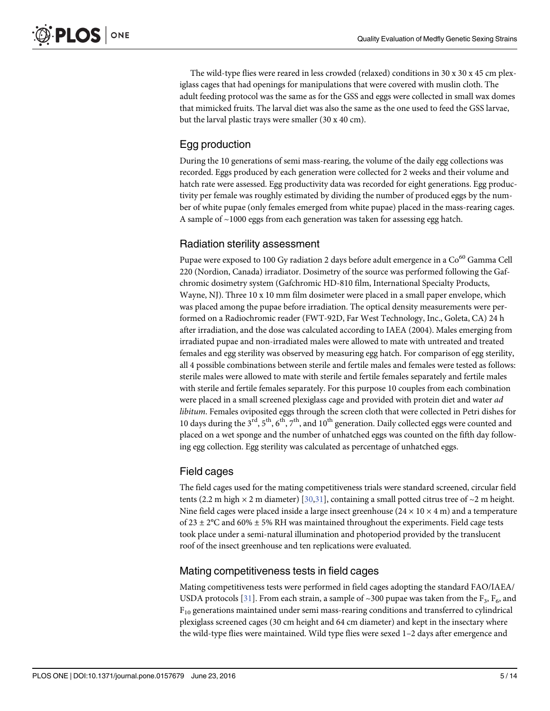<span id="page-4-0"></span>The wild-type flies were reared in less crowded (relaxed) conditions in 30 x 30 x 45 cm plexiglass cages that had openings for manipulations that were covered with muslin cloth. The adult feeding protocol was the same as for the GSS and eggs were collected in small wax domes that mimicked fruits. The larval diet was also the same as the one used to feed the GSS larvae, but the larval plastic trays were smaller (30 x 40 cm).

# Egg production

During the 10 generations of semi mass-rearing, the volume of the daily egg collections was recorded. Eggs produced by each generation were collected for 2 weeks and their volume and hatch rate were assessed. Egg productivity data was recorded for eight generations. Egg productivity per female was roughly estimated by dividing the number of produced eggs by the number of white pupae (only females emerged from white pupae) placed in the mass-rearing cages. A sample of ~1000 eggs from each generation was taken for assessing egg hatch.

# Radiation sterility assessment

Pupae were exposed to 100 Gy radiation 2 days before adult emergence in a  $\mathrm{Co}^{60}$  Gamma Cell 220 (Nordion, Canada) irradiator. Dosimetry of the source was performed following the Gafchromic dosimetry system (Gafchromic HD-810 film, International Specialty Products, Wayne, NJ). Three 10 x 10 mm film dosimeter were placed in a small paper envelope, which was placed among the pupae before irradiation. The optical density measurements were performed on a Radiochromic reader (FWT-92D, Far West Technology, Inc., Goleta, CA) 24 h after irradiation, and the dose was calculated according to IAEA (2004). Males emerging from irradiated pupae and non-irradiated males were allowed to mate with untreated and treated females and egg sterility was observed by measuring egg hatch. For comparison of egg sterility, all 4 possible combinations between sterile and fertile males and females were tested as follows: sterile males were allowed to mate with sterile and fertile females separately and fertile males with sterile and fertile females separately. For this purpose 10 couples from each combination were placed in a small screened plexiglass cage and provided with protein diet and water ad libitum. Females oviposited eggs through the screen cloth that were collected in Petri dishes for 10 days during the  $3<sup>rd</sup>$ ,  $5<sup>th</sup>$ ,  $6<sup>th</sup>$ ,  $7<sup>th</sup>$ , and  $10<sup>th</sup>$  generation. Daily collected eggs were counted and placed on a wet sponge and the number of unhatched eggs was counted on the fifth day following egg collection. Egg sterility was calculated as percentage of unhatched eggs.

# Field cages

The field cages used for the mating competitiveness trials were standard screened, circular field tents (2.2 m high  $\times$  2 m diameter) [[30,31](#page-13-0)], containing a small potted citrus tree of  $\sim$  2 m height. Nine field cages were placed inside a large insect greenhouse  $(24 \times 10 \times 4 \text{ m})$  and a temperature of 23  $\pm$  2°C and 60%  $\pm$  5% RH was maintained throughout the experiments. Field cage tests took place under a semi-natural illumination and photoperiod provided by the translucent roof of the insect greenhouse and ten replications were evaluated.

# Mating competitiveness tests in field cages

Mating competitiveness tests were performed in field cages adopting the standard FAO/IAEA/ USDA protocols [\[31\]](#page-13-0). From each strain, a sample of ~300 pupae was taken from the F<sub>3</sub>, F<sub>6</sub>, and  $F_{10}$  generations maintained under semi mass-rearing conditions and transferred to cylindrical plexiglass screened cages (30 cm height and 64 cm diameter) and kept in the insectary where the wild-type flies were maintained. Wild type flies were sexed 1–2 days after emergence and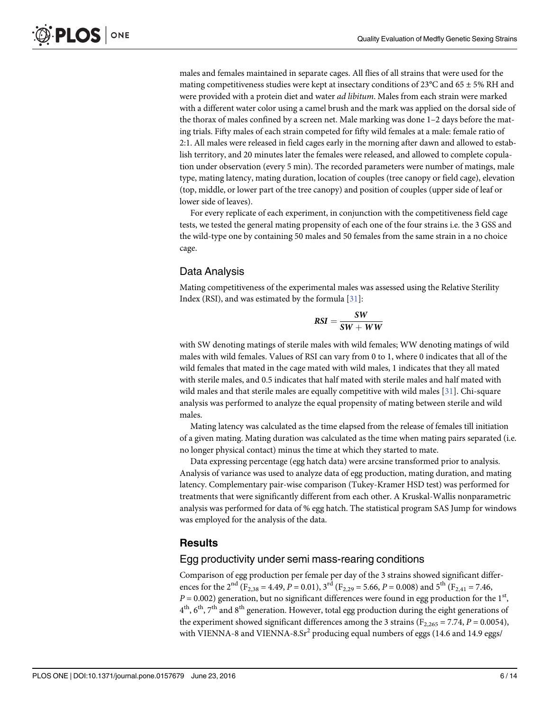males and females maintained in separate cages. All flies of all strains that were used for the mating competitiveness studies were kept at insectary conditions of 23°C and 65 ± 5% RH and were provided with a protein diet and water ad libitum. Males from each strain were marked with a different water color using a camel brush and the mark was applied on the dorsal side of the thorax of males confined by a screen net. Male marking was done 1–2 days before the mating trials. Fifty males of each strain competed for fifty wild females at a male: female ratio of 2:1. All males were released in field cages early in the morning after dawn and allowed to establish territory, and 20 minutes later the females were released, and allowed to complete copulation under observation (every 5 min). The recorded parameters were number of matings, male type, mating latency, mating duration, location of couples (tree canopy or field cage), elevation (top, middle, or lower part of the tree canopy) and position of couples (upper side of leaf or lower side of leaves).

For every replicate of each experiment, in conjunction with the competitiveness field cage tests, we tested the general mating propensity of each one of the four strains i.e. the 3 GSS and the wild-type one by containing 50 males and 50 females from the same strain in a no choice cage.

## Data Analysis

Mating competitiveness of the experimental males was assessed using the Relative Sterility Index (RSI), and was estimated by the formula [\[31\]](#page-13-0):

$$
RSI = \frac{SW}{SW + WW}
$$

with SW denoting matings of sterile males with wild females; WW denoting matings of wild males with wild females. Values of RSI can vary from 0 to 1, where 0 indicates that all of the wild females that mated in the cage mated with wild males, 1 indicates that they all mated with sterile males, and 0.5 indicates that half mated with sterile males and half mated with wild males and that sterile males are equally competitive with wild males [\[31](#page-13-0)]. Chi-square analysis was performed to analyze the equal propensity of mating between sterile and wild males.

Mating latency was calculated as the time elapsed from the release of females till initiation of a given mating. Mating duration was calculated as the time when mating pairs separated (i.e. no longer physical contact) minus the time at which they started to mate.

Data expressing percentage (egg hatch data) were arcsine transformed prior to analysis. Analysis of variance was used to analyze data of egg production, mating duration, and mating latency. Complementary pair-wise comparison (Tukey-Kramer HSD test) was performed for treatments that were significantly different from each other. A Kruskal-Wallis nonparametric analysis was performed for data of % egg hatch. The statistical program SAS Jump for windows was employed for the analysis of the data.

### **Results**

#### Egg productivity under semi mass-rearing conditions

Comparison of egg production per female per day of the 3 strains showed significant differences for the 2<sup>nd</sup> (F<sub>2,38</sub> = 4.49, P = 0.01), 3<sup>rd</sup> (F<sub>2,29</sub> = 5.66, P = 0.008) and 5<sup>th</sup> (F<sub>2,41</sub> = 7.46,  $P = 0.002$ ) generation, but no significant differences were found in egg production for the 1<sup>st</sup>,  $4<sup>th</sup>$ ,  $6<sup>th</sup>$ ,  $7<sup>th</sup>$  and  $8<sup>th</sup>$  generation. However, total egg production during the eight generations of the experiment showed significant differences among the 3 strains ( $F_{2,265} = 7.74$ ,  $P = 0.0054$ ), with VIENNA-8 and VIENNA-8.Sr<sup>2</sup> producing equal numbers of eggs (14.6 and 14.9 eggs/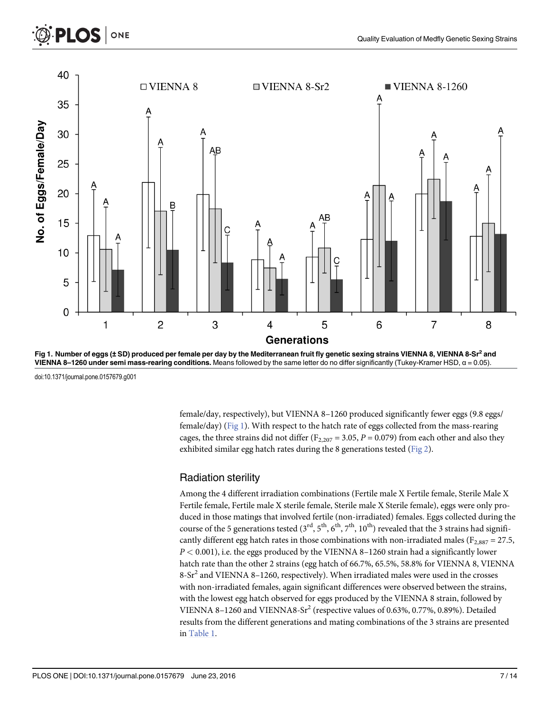<span id="page-6-0"></span>





doi:10.1371/journal.pone.0157679.g001

female/day, respectively), but VIENNA 8–1260 produced significantly fewer eggs (9.8 eggs/ female/day) (Fig 1). With respect to the hatch rate of eggs collected from the mass-rearing cages, the three strains did not differ ( $F_{2,207} = 3.05$ ,  $P = 0.079$ ) from each other and also they exhibited similar egg hatch rates during the 8 generations tested ([Fig 2\)](#page-7-0).

# Radiation sterility

Among the 4 different irradiation combinations (Fertile male X Fertile female, Sterile Male X Fertile female, Fertile male X sterile female, Sterile male X Sterile female), eggs were only produced in those matings that involved fertile (non-irradiated) females. Eggs collected during the course of the 5 generations tested  $(3<sup>rd</sup>, 5<sup>th</sup>, 6<sup>th</sup>, 7<sup>th</sup>, 10<sup>th</sup>)$  revealed that the 3 strains had significantly different egg hatch rates in those combinations with non-irradiated males ( $F_{2,887} = 27.5$ ,  $P < 0.001$  ), i.e. the eggs produced by the VIENNA 8–1260 strain had a significantly lower hatch rate than the other 2 strains (egg hatch of 66.7%, 65.5%, 58.8% for VIENNA 8, VIENNA 8-Sr<sup>2</sup> and VIENNA 8–1260, respectively). When irradiated males were used in the crosses with non-irradiated females, again significant differences were observed between the strains, with the lowest egg hatch observed for eggs produced by the VIENNA 8 strain, followed by VIENNA 8-1260 and VIENNA8-Sr<sup>2</sup> (respective values of 0.63%, 0.77%, 0.89%). Detailed results from the different generations and mating combinations of the 3 strains are presented in [Table 1](#page-7-0).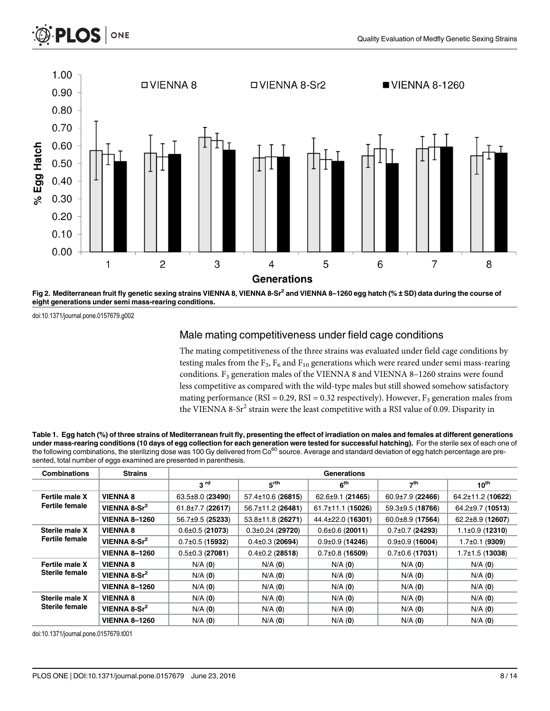<span id="page-7-0"></span>



[Fig 2. M](#page-6-0)editerranean fruit fly genetic sexing strains VIENNA 8, VIENNA 8-Sr<sup>2</sup> and VIENNA 8-1260 egg hatch (% ± SD) data during the course of eight generations under semi mass-rearing conditions.

doi:10.1371/journal.pone.0157679.g002

## Male mating competitiveness under field cage conditions

The mating competitiveness of the three strains was evaluated under field cage conditions by testing males from the  $F_3$ ,  $F_6$  and  $F_{10}$  generations which were reared under semi mass-rearing conditions. F<sub>3</sub> generation males of the VIENNA 8 and VIENNA 8-1260 strains were found less competitive as compared with the wild-type males but still showed somehow satisfactory mating performance (RSI = 0.29, RSI = 0.32 respectively). However,  $F_3$  generation males from the VIENNA 8-Sr<sup>2</sup> strain were the least competitive with a RSI value of 0.09. Disparity in

| Table 1. Egg hatch (%) of three strains of Mediterranean fruit fly, presenting the effect of irradiation on males and females at different generations              |
|---------------------------------------------------------------------------------------------------------------------------------------------------------------------|
| under mass-rearing conditions (10 days of egg collection for each generation were tested for successful hatching). For the sterile sex of each one of               |
| the following combinations, the sterilizing dose was 100 Gy delivered from Co <sup>60</sup> source. Average and standard deviation of egg hatch percentage are pre- |
| sented, total number of eggs examined are presented in parenthesis.                                                                                                 |

| <b>Combinations</b>                     | <b>Strains</b>           | Generations            |                         |                         |                        |                      |  |
|-----------------------------------------|--------------------------|------------------------|-------------------------|-------------------------|------------------------|----------------------|--|
|                                         |                          | 3 <sup>rd</sup>        | $5^{\text{rth}}$        | 6 <sup>th</sup>         | 7 <sup>th</sup>        | $10^{\text{th}}$     |  |
| Fertile male X<br><b>Fertile female</b> | <b>VIENNA 8</b>          | $63.5 \pm 8.0$ (23490) | $57.4 \pm 10.6$ (26815) | $62.6 \pm 9.1$ (21465)  | $60.9 \pm 7.9$ (22466) | 64.2±11.2 (10622)    |  |
|                                         | VIENNA 8-Sr <sup>2</sup> | 61.8±7.7 (22617)       | 56.7±11.2 (26481)       | $61.7 \pm 11.1$ (15026) | 59.3±9.5 (18766)       | 64.2±9.7 (10513)     |  |
|                                         | <b>VIENNA 8-1260</b>     | 56.7±9.5 (25233)       | 53.8±11.8 (26271)       | 44.4±22.0 (16301)       | 60.0±8.9 (17564)       | $62.2\pm8.9$ (12607) |  |
| Sterile male X<br><b>Fertile female</b> | <b>VIENNA 8</b>          | $0.6 \pm 0.5$ (21073)  | $0.3 \pm 0.24$ (29720)  | $0.6 \pm 0.6$ (20011)   | $0.7 \pm 0.7$ (24293)  | $1.1\pm0.9$ (12310)  |  |
|                                         | VIENNA 8-Sr <sup>2</sup> | $0.7\pm0.5$ (15932)    | $0.4 \pm 0.3$ (20694)   | $0.9 \pm 0.9$ (14246)   | $0.9\pm0.9$ (16004)    | 1.7±0.1 (9309)       |  |
|                                         | <b>VIENNA 8-1260</b>     | $0.5 \pm 0.3$ (27081)  | $0.4\pm0.2$ (28518)     | $0.7\pm0.8$ (16509)     | $0.7\pm0.6$ (17031)    | $1.7\pm1.5$ (13038)  |  |
| Fertile male X<br>Sterile female        | <b>VIENNA 8</b>          | $N/A$ (0)              | $N/A$ (0)               | $N/A$ (0)               | $N/A$ (0)              | $N/A$ (0)            |  |
|                                         | VIENNA 8-Sr <sup>2</sup> | $N/A$ (0)              | $N/A$ (0)               | $N/A$ (0)               | $N/A$ (0)              | $N/A$ (0)            |  |
|                                         | <b>VIENNA 8-1260</b>     | $N/A$ (0)              | $N/A$ (0)               | $N/A$ (0)               | $N/A$ (0)              | $N/A$ (0)            |  |
| Sterile male X<br><b>Sterile female</b> | <b>VIENNA 8</b>          | $N/A$ $(0)$            | $N/A$ (0)               | $N/A$ (0)               | $N/A$ $(0)$            | $N/A$ (0)            |  |
|                                         | VIENNA 8-Sr <sup>2</sup> | $N/A$ (0)              | $N/A$ $(0)$             | $N/A$ (0)               | $N/A$ (0)              | $N/A$ (0)            |  |
|                                         | <b>VIENNA 8-1260</b>     | $N/A$ (0)              | $N/A$ (0)               | $N/A$ $(0)$             | $N/A$ (0)              | $N/A$ (0)            |  |

doi:10.1371/journal.pone.0157679.t001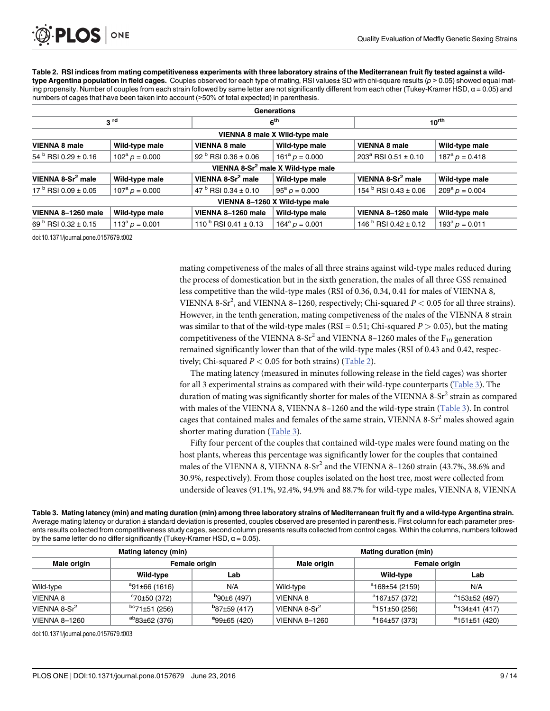Table 2. RSI indices from mating competitiveness experiments with three laboratory strains of the Mediterranean fruit fly tested against a wildtype Argentina population in field cages. Couples observed for each type of mating, RSI values $\pm$  SD with chi-square results ( $p$  > 0.05) showed equal mating propensity. Number of couples from each strain followed by same letter are not significantly different from each other (Tukey-Kramer HSD,  $\alpha$  = 0.05) and numbers of cages that have been taken into account (>50% of total expected) in parenthesis.

| 3 <sup>rd</sup>                |                                        | 6 <sup>th</sup>        |                                                                                                        | $10^{\text{rth}}$       |  |  |  |  |  |
|--------------------------------|----------------------------------------|------------------------|--------------------------------------------------------------------------------------------------------|-------------------------|--|--|--|--|--|
| VIENNA 8 male X Wild-type male |                                        |                        |                                                                                                        |                         |  |  |  |  |  |
| Wild-type male                 | <b>VIENNA 8 male</b>                   | Wild-type male         | <b>VIENNA 8 male</b>                                                                                   | Wild-type male          |  |  |  |  |  |
| $102^a p = 0.000$              | 92 $\frac{6}{1}$ RSI 0.36 ± 0.06       | $161^a p = 0.000$      | $203^a$ RSI 0.51 ± 0.10                                                                                | $187^{\circ} p = 0.418$ |  |  |  |  |  |
|                                |                                        |                        |                                                                                                        |                         |  |  |  |  |  |
| Wild-type male                 | VIENNA 8-Sr <sup>2</sup> male          | Wild-type male         | VIENNA 8-Sr <sup>2</sup> male                                                                          | Wild-type male          |  |  |  |  |  |
| $107^{\rm a} p = 0.000$        | 47 $\mathrm{^{b}}$ RSI 0.34 $\pm$ 0.10 | $95^{\rm a} p = 0.000$ | 154 <sup>b</sup> RSI 0.43 ± 0.06                                                                       | $209^{\rm a} p = 0.004$ |  |  |  |  |  |
|                                |                                        |                        |                                                                                                        |                         |  |  |  |  |  |
| Wild-type male                 | VIENNA 8-1260 male                     | Wild-type male         | VIENNA 8-1260 male                                                                                     | Wild-type male          |  |  |  |  |  |
| $113^a p = 0.001$              | 110 $\frac{b}{c}$ RSI 0.41 ± 0.13      | $164^a p = 0.001$      | 146 <sup>b</sup> RSI 0.42 ± 0.12                                                                       | $193^a p = 0.011$       |  |  |  |  |  |
|                                |                                        |                        | <b>Generations</b><br>VIENNA 8-Sr <sup>2</sup> male X Wild-type male<br>VIENNA 8-1260 X Wild-type male |                         |  |  |  |  |  |

doi:10.1371/journal.pone.0157679.t002

mating competiveness of the males of all three strains against wild-type males reduced during the process of domestication but in the sixth generation, the males of all three GSS remained less competitive than the wild-type males (RSI of 0.36, 0.34, 0.41 for males of VIENNA 8, VIENNA 8-Sr<sup>2</sup>, and VIENNA 8-1260, respectively; Chi-squared  $P < 0.05$  for all three strains). However, in the tenth generation, mating competiveness of the males of the VIENNA 8 strain was similar to that of the wild-type males (RSI = 0.51; Chi-squared  $P > 0.05$ ), but the mating competitiveness of the VIENNA 8-Sr<sup>2</sup> and VIENNA 8-1260 males of the  $F_{10}$  generation remained significantly lower than that of the wild-type males (RSI of 0.43 and 0.42, respectively; Chi-squared  $P < 0.05$  for both strains) (Table 2).

The mating latency (measured in minutes following release in the field cages) was shorter for all 3 experimental strains as compared with their wild-type counterparts (Table 3). The duration of mating was significantly shorter for males of the VIENNA 8- $Sr<sup>2</sup>$  strain as compared with males of the VIENNA 8, VIENNA 8–1260 and the wild-type strain (Table 3). In control cages that contained males and females of the same strain, VIENNA 8-Sr<sup>2</sup> males showed again shorter mating duration (Table 3).

Fifty four percent of the couples that contained wild-type males were found mating on the host plants, whereas this percentage was significantly lower for the couples that contained males of the VIENNA 8, VIENNA  $8-Sr^2$  and the VIENNA  $8-1260$  strain (43.7%, 38.6% and 30.9%, respectively). From those couples isolated on the host tree, most were collected from underside of leaves (91.1%, 92.4%, 94.9% and 88.7% for wild-type males, VIENNA 8, VIENNA

Table 3. Mating latency (min) and mating duration (min) among three laboratory strains of Mediterranean fruit fly and a wild-type Argentina strain. Average mating latency or duration ± standard deviation is presented, couples observed are presented in parenthesis. First column for each parameter presents results collected from competitiveness study cages, second column presents results collected from control cages. Within the columns, numbers followed by the same letter do no differ significantly (Tukey-Kramer HSD,  $\alpha$  = 0.05).

| <b>Mating latency (min)</b> |                        |                      | Mating duration (min) |                           |                         |  |
|-----------------------------|------------------------|----------------------|-----------------------|---------------------------|-------------------------|--|
| Male origin                 | Female origin          |                      | Male origin           | Female origin             |                         |  |
|                             | Wild-type              | Lab                  |                       | Wild-type                 | Lab                     |  |
| Wild-type                   | $^{a}91\pm 66(1616)$   | N/A                  | Wild-type             | $^{\circ}$ 168±54 (2159)  | N/A                     |  |
| <b>VIENNA 8</b>             | $^{\circ}70\pm50(372)$ | $^{b}90\pm 6(497)$   | <b>VIENNA 8</b>       | $a$ 167±57 (372)          | $a$ 153±52 (497)        |  |
| VIENNA $8-Sr^2$             | $bc71\pm51(256)$       | $B_{87\pm 59}$ (417) | VIENNA $8-Sr^2$       | $b$ 151±50 (256)          | $b$ 134±41 (417)        |  |
| <b>VIENNA 8-1260</b>        | $^{ab}83\pm 62$ (376)  | $a_{99\pm 65(420)}$  | <b>VIENNA 8-1260</b>  | <sup>a</sup> 164±57 (373) | $^{\circ}$ 151±51 (420) |  |

doi:10.1371/journal.pone.0157679.t003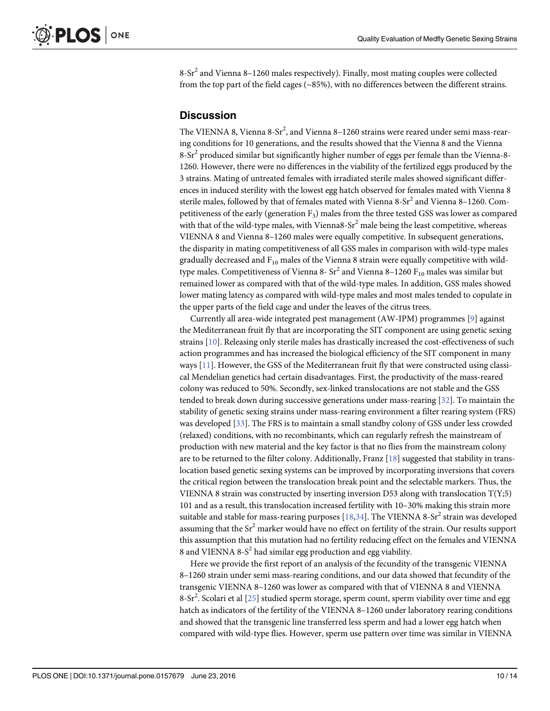<span id="page-9-0"></span> $8-Sr<sup>2</sup>$  and Vienna  $8-1260$  males respectively). Finally, most mating couples were collected from the top part of the field cages (~85%), with no differences between the different strains.

## **Discussion**

The VIENNA 8, Vienna 8-Sr<sup>2</sup>, and Vienna 8–1260 strains were reared under semi mass-rearing conditions for 10 generations, and the results showed that the Vienna 8 and the Vienna  $8-Sr<sup>2</sup>$  produced similar but significantly higher number of eggs per female than the Vienna-8-1260. However, there were no differences in the viability of the fertilized eggs produced by the 3 strains. Mating of untreated females with irradiated sterile males showed significant differences in induced sterility with the lowest egg hatch observed for females mated with Vienna 8 sterile males, followed by that of females mated with Vienna  $8-Sr^2$  and Vienna  $8-1260$ . Competitiveness of the early (generation F3) males from the three tested GSS was lower as compared with that of the wild-type males, with Vienna8- $Sr<sup>2</sup>$  male being the least competitive, whereas VIENNA 8 and Vienna 8–1260 males were equally competitive. In subsequent generations, the disparity in mating competitiveness of all GSS males in comparison with wild-type males gradually decreased and  $F_{10}$  males of the Vienna 8 strain were equally competitive with wildtype males. Competitiveness of Vienna 8-  $Sr^2$  and Vienna 8-1260  $F_{10}$  males was similar but remained lower as compared with that of the wild-type males. In addition, GSS males showed lower mating latency as compared with wild-type males and most males tended to copulate in the upper parts of the field cage and under the leaves of the citrus trees.

Currently all area-wide integrated pest management (AW-IPM) programmes  $[9]$  $[9]$  $[9]$  against the Mediterranean fruit fly that are incorporating the SIT component are using genetic sexing strains [\[10\]](#page-12-0). Releasing only sterile males has drastically increased the cost-effectiveness of such action programmes and has increased the biological efficiency of the SIT component in many ways [\[11\]](#page-12-0). However, the GSS of the Mediterranean fruit fly that were constructed using classical Mendelian genetics had certain disadvantages. First, the productivity of the mass-reared colony was reduced to 50%. Secondly, sex-linked translocations are not stable and the GSS tended to break down during successive generations under mass-rearing [\[32\]](#page-13-0). To maintain the stability of genetic sexing strains under mass-rearing environment a filter rearing system (FRS) was developed [[33](#page-13-0)]. The FRS is to maintain a small standby colony of GSS under less crowded (relaxed) conditions, with no recombinants, which can regularly refresh the mainstream of production with new material and the key factor is that no flies from the mainstream colony are to be returned to the filter colony. Additionally, Franz  $[18]$  $[18]$  $[18]$  suggested that stability in translocation based genetic sexing systems can be improved by incorporating inversions that covers the critical region between the translocation break point and the selectable markers. Thus, the VIENNA 8 strain was constructed by inserting inversion D53 along with translocation T(Y;5) 101 and as a result, this translocation increased fertility with 10–30% making this strain more suitable and stable for mass-rearing purposes  $[18,34]$  $[18,34]$  $[18,34]$ . The VIENNA 8-Sr<sup>2</sup> strain was developed assuming that the  $Sr^2$  marker would have no effect on fertility of the strain. Our results support this assumption that this mutation had no fertility reducing effect on the females and VIENNA 8 and VIENNA  $8-S^2$  had similar egg production and egg viability.

Here we provide the first report of an analysis of the fecundity of the transgenic VIENNA 8–1260 strain under semi mass-rearing conditions, and our data showed that fecundity of the transgenic VIENNA 8–1260 was lower as compared with that of VIENNA 8 and VIENNA 8-Sr<sup>2</sup>. Scolari et al [[25](#page-12-0)] studied sperm storage, sperm count, sperm viability over time and egg hatch as indicators of the fertility of the VIENNA 8-1260 under laboratory rearing conditions and showed that the transgenic line transferred less sperm and had a lower egg hatch when compared with wild-type flies. However, sperm use pattern over time was similar in VIENNA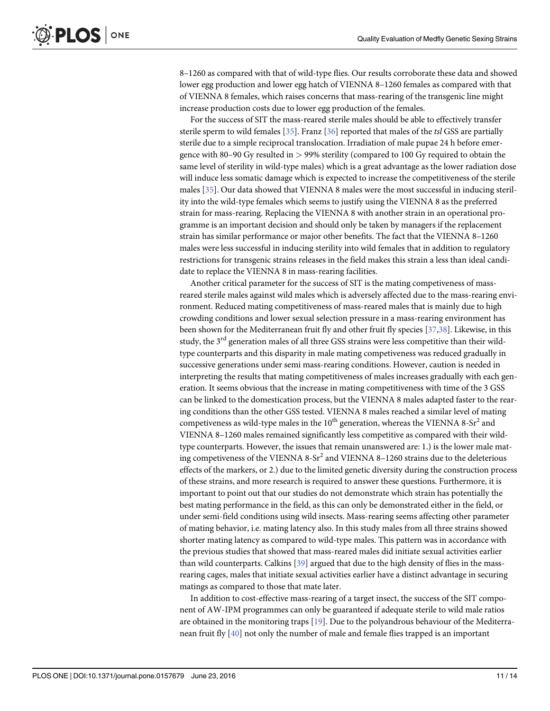<span id="page-10-0"></span>8–1260 as compared with that of wild-type flies. Our results corroborate these data and showed lower egg production and lower egg hatch of VIENNA 8–1260 females as compared with that of VIENNA 8 females, which raises concerns that mass-rearing of the transgenic line might increase production costs due to lower egg production of the females.

For the success of SIT the mass-reared sterile males should be able to effectively transfer sterile sperm to wild females  $[35]$ . Franz  $[36]$  $[36]$  reported that males of the tsl GSS are partially sterile due to a simple reciprocal translocation. Irradiation of male pupae 24 h before emergence with 80–90 Gy resulted in > 99% sterility (compared to 100 Gy required to obtain the same level of sterility in wild-type males) which is a great advantage as the lower radiation dose will induce less somatic damage which is expected to increase the competitiveness of the sterile males [\[35](#page-13-0)]. Our data showed that VIENNA 8 males were the most successful in inducing sterility into the wild-type females which seems to justify using the VIENNA 8 as the preferred strain for mass-rearing. Replacing the VIENNA 8 with another strain in an operational programme is an important decision and should only be taken by managers if the replacement strain has similar performance or major other benefits. The fact that the VIENNA 8–1260 males were less successful in inducing sterility into wild females that in addition to regulatory restrictions for transgenic strains releases in the field makes this strain a less than ideal candidate to replace the VIENNA 8 in mass-rearing facilities.

Another critical parameter for the success of SIT is the mating competiveness of massreared sterile males against wild males which is adversely affected due to the mass-rearing environment. Reduced mating competitiveness of mass-reared males that is mainly due to high crowding conditions and lower sexual selection pressure in a mass-rearing environment has been shown for the Mediterranean fruit fly and other fruit fly species [[37,38\]](#page-13-0). Likewise, in this study, the  $3<sup>rd</sup>$  generation males of all three GSS strains were less competitive than their wildtype counterparts and this disparity in male mating competiveness was reduced gradually in successive generations under semi mass-rearing conditions. However, caution is needed in interpreting the results that mating competitiveness of males increases gradually with each generation. It seems obvious that the increase in mating competitiveness with time of the 3 GSS can be linked to the domestication process, but the VIENNA 8 males adapted faster to the rearing conditions than the other GSS tested. VIENNA 8 males reached a similar level of mating competiveness as wild-type males in the  $10^{th}$  generation, whereas the VIENNA 8-Sr<sup>2</sup> and VIENNA 8–1260 males remained significantly less competitive as compared with their wildtype counterparts. However, the issues that remain unanswered are: 1.) is the lower male mating competiveness of the VIENNA  $8-Sr^2$  and VIENNA  $8-1260$  strains due to the deleterious effects of the markers, or 2.) due to the limited genetic diversity during the construction process of these strains, and more research is required to answer these questions. Furthermore, it is important to point out that our studies do not demonstrate which strain has potentially the best mating performance in the field, as this can only be demonstrated either in the field, or under semi-field conditions using wild insects. Mass-rearing seems affecting other parameter of mating behavior, i.e. mating latency also. In this study males from all three strains showed shorter mating latency as compared to wild-type males. This pattern was in accordance with the previous studies that showed that mass-reared males did initiate sexual activities earlier than wild counterparts. Calkins [\[39\]](#page-13-0) argued that due to the high density of flies in the massrearing cages, males that initiate sexual activities earlier have a distinct advantage in securing matings as compared to those that mate later.

In addition to cost-effective mass-rearing of a target insect, the success of the SIT component of AW-IPM programmes can only be guaranteed if adequate sterile to wild male ratios are obtained in the monitoring traps [[19](#page-12-0)]. Due to the polyandrous behaviour of the Mediterranean fruit fly [[40](#page-13-0)] not only the number of male and female flies trapped is an important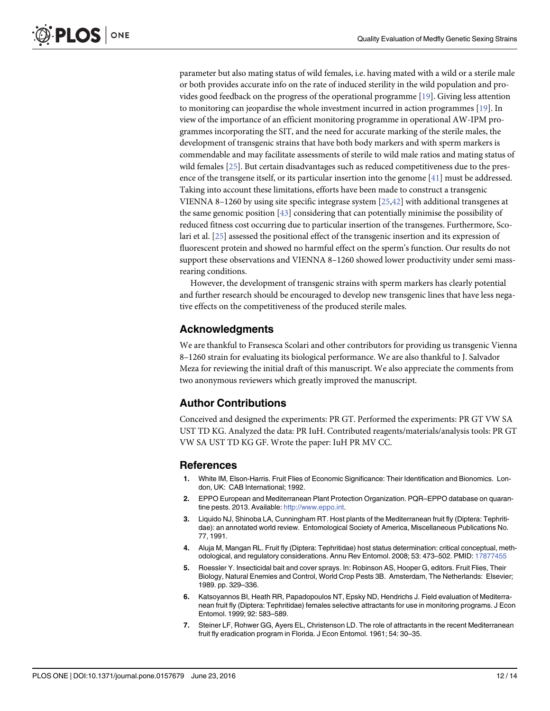<span id="page-11-0"></span>parameter but also mating status of wild females, i.e. having mated with a wild or a sterile male or both provides accurate info on the rate of induced sterility in the wild population and provides good feedback on the progress of the operational programme [[19](#page-12-0)]. Giving less attention to monitoring can jeopardise the whole investment incurred in action programmes [\[19](#page-12-0)]. In view of the importance of an efficient monitoring programme in operational AW-IPM programmes incorporating the SIT, and the need for accurate marking of the sterile males, the development of transgenic strains that have both body markers and with sperm markers is commendable and may facilitate assessments of sterile to wild male ratios and mating status of wild females [[25](#page-12-0)]. But certain disadvantages such as reduced competitiveness due to the presence of the transgene itself, or its particular insertion into the genome  $[41]$  must be addressed. Taking into account these limitations, efforts have been made to construct a transgenic VIENNA 8–1260 by using site specific integrase system [[25](#page-12-0)[,42](#page-13-0)] with additional transgenes at the same genomic position [[43](#page-13-0)] considering that can potentially minimise the possibility of reduced fitness cost occurring due to particular insertion of the transgenes. Furthermore, Scolari et al. [\[25](#page-12-0)] assessed the positional effect of the transgenic insertion and its expression of fluorescent protein and showed no harmful effect on the sperm's function. Our results do not support these observations and VIENNA 8–1260 showed lower productivity under semi massrearing conditions.

However, the development of transgenic strains with sperm markers has clearly potential and further research should be encouraged to develop new transgenic lines that have less negative effects on the competitiveness of the produced sterile males.

### Acknowledgments

We are thankful to Fransesca Scolari and other contributors for providing us transgenic Vienna 8–1260 strain for evaluating its biological performance. We are also thankful to J. Salvador Meza for reviewing the initial draft of this manuscript. We also appreciate the comments from two anonymous reviewers which greatly improved the manuscript.

### Author Contributions

Conceived and designed the experiments: PR GT. Performed the experiments: PR GT VW SA UST TD KG. Analyzed the data: PR IuH. Contributed reagents/materials/analysis tools: PR GT VW SA UST TD KG GF. Wrote the paper: IuH PR MV CC.

#### References

- [1.](#page-1-0) White IM, Elson-Harris. Fruit Flies of Economic Significance: Their Identification and Bionomics. London, UK: CAB International; 1992.
- [2.](#page-1-0) EPPO European and Mediterranean Plant Protection Organization. PQR–EPPO database on quarantine pests. 2013. Available: [http://www.eppo.int.](http://www.eppo.int)
- [3.](#page-1-0) Liquido NJ, Shinoba LA, Cunningham RT. Host plants of the Mediterranean fruit fly (Diptera: Tephritidae): an annotated world review. Entomological Society of America, Miscellaneous Publications No. 77, 1991.
- [4.](#page-1-0) Aluja M, Mangan RL. Fruit fly (Diptera: Tephritidae) host status determination: critical conceptual, methodological, and regulatory considerations. Annu Rev Entomol. 2008; 53: 473–502. PMID: [17877455](http://www.ncbi.nlm.nih.gov/pubmed/17877455)
- [5.](#page-1-0) Roessler Y. Insecticidal bait and cover sprays. In: Robinson AS, Hooper G, editors. Fruit Flies, Their Biology, Natural Enemies and Control, World Crop Pests 3B. Amsterdam, The Netherlands: Elsevier; 1989. pp. 329–336.
- 6. Katsoyannos BI, Heath RR, Papadopoulos NT, Epsky ND, Hendrichs J. Field evaluation of Mediterranean fruit fly (Diptera: Tephritidae) females selective attractants for use in monitoring programs. J Econ Entomol. 1999; 92: 583–589.
- [7.](#page-1-0) Steiner LF, Rohwer GG, Ayers EL, Christenson LD. The role of attractants in the recent Mediterranean fruit fly eradication program in Florida. J Econ Entomol. 1961; 54: 30–35.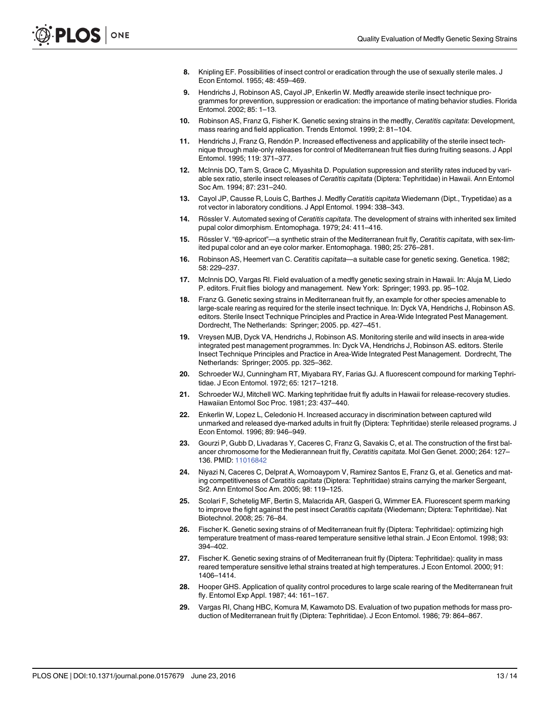- <span id="page-12-0"></span>[8.](#page-1-0) Knipling EF. Possibilities of insect control or eradication through the use of sexually sterile males. J Econ Entomol. 1955; 48: 459–469.
- [9.](#page-1-0) Hendrichs J, Robinson AS, Cayol JP, Enkerlin W. Medfly areawide sterile insect technique programmes for prevention, suppression or eradication: the importance of mating behavior studies. Florida Entomol. 2002; 85: 1–13.
- [10.](#page-1-0) Robinson AS, Franz G, Fisher K. Genetic sexing strains in the medfly, Ceratitis capitata: Development, mass rearing and field application. Trends Entomol. 1999; 2: 81–104.
- [11.](#page-1-0) Hendrichs J, Franz G, Rendón P. Increased effectiveness and applicability of the sterile insect technique through male-only releases for control of Mediterranean fruit flies during fruiting seasons. J Appl Entomol. 1995; 119: 371–377.
- [12.](#page-1-0) McInnis DO, Tam S, Grace C, Miyashita D. Population suppression and sterility rates induced by variable sex ratio, sterile insect releases of Ceratitis capitata (Diptera: Tephritidae) in Hawaii. Ann Entomol Soc Am. 1994; 87: 231–240.
- [13.](#page-1-0) Cayol JP, Causse R, Louis C, Barthes J. Medfly Ceratitis capitata Wiedemann (Dipt., Trypetidae) as a rot vector in laboratory conditions. J Appl Entomol. 1994: 338–343.
- [14.](#page-1-0) Rössler V. Automated sexing of Ceratitis capitata. The development of strains with inherited sex limited pupal color dimorphism. Entomophaga. 1979; 24: 411–416.
- 15. Rössler V. "69-apricot"—a synthetic strain of the Mediterranean fruit fly, Ceratitis capitata, with sex-limited pupal color and an eye color marker. Entomophaga. 1980; 25: 276–281.
- [16.](#page-1-0) Robinson AS, Heemert van C. Ceratitis capitata—a suitable case for genetic sexing. Genetica. 1982; 58: 229–237.
- [17.](#page-1-0) McInnis DO, Vargas RI. Field evaluation of a medfly genetic sexing strain in Hawaii. In: Aluja M, Liedo P. editors. Fruit flies biology and management. New York: Springer; 1993. pp. 95–102.
- [18.](#page-2-0) Franz G. Genetic sexing strains in Mediterranean fruit fly, an example for other species amenable to large-scale rearing as required for the sterile insect technique. In: Dyck VA, Hendrichs J, Robinson AS. editors. Sterile Insect Technique Principles and Practice in Area-Wide Integrated Pest Management. Dordrecht, The Netherlands: Springer; 2005. pp. 427–451.
- [19.](#page-2-0) Vreysen MJB, Dyck VA, Hendrichs J, Robinson AS. Monitoring sterile and wild insects in area-wide integrated pest management programmes. In: Dyck VA, Hendrichs J, Robinson AS. editors. Sterile Insect Technique Principles and Practice in Area-Wide Integrated Pest Management. Dordrecht, The Netherlands: Springer; 2005. pp. 325–362.
- [20.](#page-2-0) Schroeder WJ, Cunningham RT, Miyabara RY, Farias GJ. A fluorescent compound for marking Tephritidae. J Econ Entomol. 1972; 65: 1217–1218.
- [21.](#page-2-0) Schroeder WJ, Mitchell WC. Marking tephritidae fruit fly adults in Hawaii for release-recovery studies. Hawaiian Entomol Soc Proc. 1981; 23: 437–440.
- [22.](#page-2-0) Enkerlin W, Lopez L, Celedonio H. Increased accuracy in discrimination between captured wild unmarked and released dye-marked adults in fruit fly (Diptera: Tephritidae) sterile released programs. J Econ Entomol. 1996; 89: 946–949.
- [23.](#page-2-0) Gourzi P, Gubb D, Livadaras Y, Caceres C, Franz G, Savakis C, et al. The construction of the first balancer chromosome for the Medierannean fruit fly, Ceratitis capitata. Mol Gen Genet. 2000; 264: 127– 136. PMID: [11016842](http://www.ncbi.nlm.nih.gov/pubmed/11016842)
- [24.](#page-2-0) Niyazi N, Caceres C, Delprat A, Wornoayporn V, Ramirez Santos E, Franz G, et al. Genetics and mating competitiveness of Ceratitis capitata (Diptera: Tephritidae) strains carrying the marker Sergeant, Sr2. Ann Entomol Soc Am. 2005; 98: 119–125.
- [25.](#page-2-0) Scolari F, Schetelig MF, Bertin S, Malacrida AR, Gasperi G, Wimmer EA. Fluorescent sperm marking to improve the fight against the pest insect Ceratitis capitata (Wiedemann; Diptera: Tephritidae). Nat Biotechnol. 2008; 25: 76–84.
- [26.](#page-3-0) Fischer K. Genetic sexing strains of of Mediterranean fruit fly (Diptera: Tephritidae): optimizing high temperature treatment of mass-reared temperature sensitive lethal strain. J Econ Entomol. 1998; 93: 394–402.
- [27.](#page-3-0) Fischer K. Genetic sexing strains of of Mediterranean fruit fly (Diptera: Tephritidae): quality in mass reared temperature sensitive lethal strains treated at high temperatures. J Econ Entomol. 2000; 91: 1406–1414.
- [28.](#page-3-0) Hooper GHS. Application of quality control procedures to large scale rearing of the Mediterranean fruit fly. Entomol Exp Appl. 1987; 44: 161–167.
- [29.](#page-3-0) Vargas RI, Chang HBC, Komura M, Kawamoto DS. Evaluation of two pupation methods for mass production of Mediterranean fruit fly (Diptera: Tephritidae). J Econ Entomol. 1986; 79: 864–867.